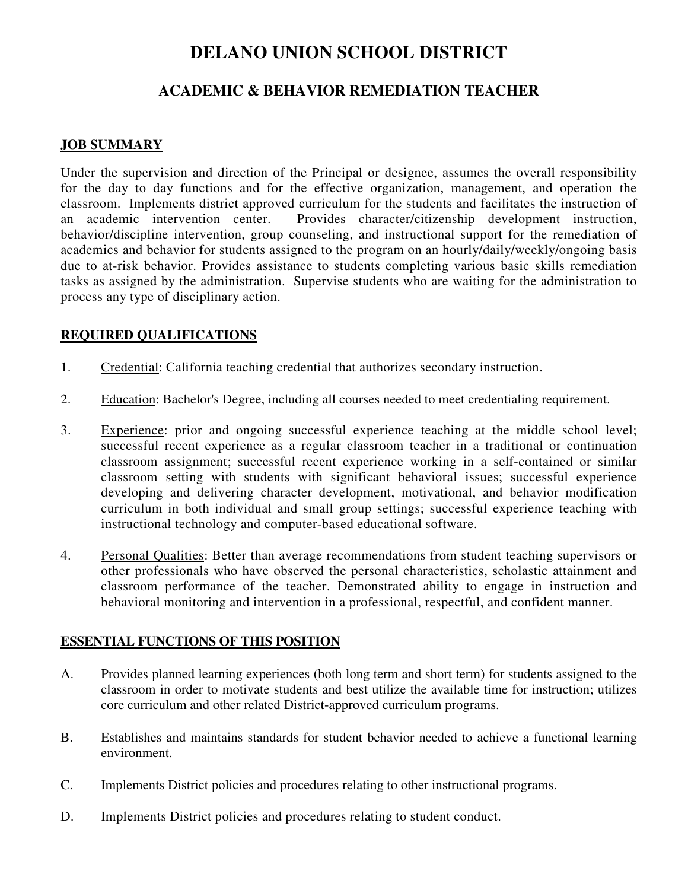# **DELANO UNION SCHOOL DISTRICT**

## **ACADEMIC & BEHAVIOR REMEDIATION TEACHER**

#### **JOB SUMMARY**

Under the supervision and direction of the Principal or designee, assumes the overall responsibility for the day to day functions and for the effective organization, management, and operation the classroom. Implements district approved curriculum for the students and facilitates the instruction of an academic intervention center. Provides character/citizenship development instruction, behavior/discipline intervention, group counseling, and instructional support for the remediation of academics and behavior for students assigned to the program on an hourly/daily/weekly/ongoing basis due to at-risk behavior. Provides assistance to students completing various basic skills remediation tasks as assigned by the administration. Supervise students who are waiting for the administration to process any type of disciplinary action.

#### **REQUIRED QUALIFICATIONS**

- 1. Credential: California teaching credential that authorizes secondary instruction.
- 2. Education: Bachelor's Degree, including all courses needed to meet credentialing requirement.
- 3. Experience: prior and ongoing successful experience teaching at the middle school level; successful recent experience as a regular classroom teacher in a traditional or continuation classroom assignment; successful recent experience working in a self-contained or similar classroom setting with students with significant behavioral issues; successful experience developing and delivering character development, motivational, and behavior modification curriculum in both individual and small group settings; successful experience teaching with instructional technology and computer-based educational software.
- 4. Personal Qualities: Better than average recommendations from student teaching supervisors or other professionals who have observed the personal characteristics, scholastic attainment and classroom performance of the teacher. Demonstrated ability to engage in instruction and behavioral monitoring and intervention in a professional, respectful, and confident manner.

#### **ESSENTIAL FUNCTIONS OF THIS POSITION**

- A. Provides planned learning experiences (both long term and short term) for students assigned to the classroom in order to motivate students and best utilize the available time for instruction; utilizes core curriculum and other related District-approved curriculum programs.
- B. Establishes and maintains standards for student behavior needed to achieve a functional learning environment.
- C. Implements District policies and procedures relating to other instructional programs.
- D. Implements District policies and procedures relating to student conduct.